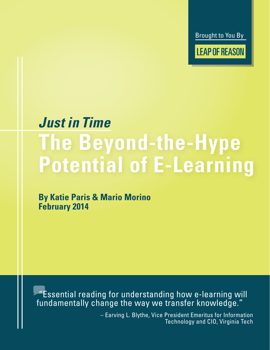Brought to You By

**LEAP OF REASON** 

# *Just in Time* **The Beyond-the-Hype Potential of E-Learning**

**By Katie Paris & Mario Morino February 2014**

 "Essential reading for understanding how e-learning will fundamentally change the way we transfer knowledge."

> – Earving L. Blythe, Vice President Emeritus for Information Technology and CIO, Virginia Tech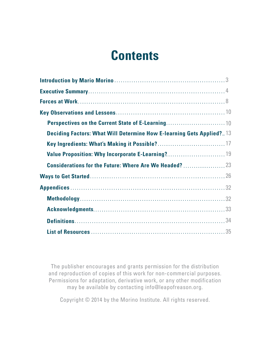# **Contents**

| Perspectives on the Current State of E-Learning10                           |  |
|-----------------------------------------------------------------------------|--|
| <b>Deciding Factors: What Will Determine How E-learning Gets Applied?13</b> |  |
|                                                                             |  |
|                                                                             |  |
| <b>Considerations for the Future: Where Are We Headed?</b> 23               |  |
|                                                                             |  |
|                                                                             |  |
|                                                                             |  |
|                                                                             |  |
|                                                                             |  |
|                                                                             |  |

The publisher encourages and grants permission for the distribution and reproduction of copies of this work for non-commercial purposes. Permissions for adaptation, derivative work, or any other modification may be available by contacting info@leapofreason.org.

Copyright © 2014 by the Morino Institute. All rights reserved.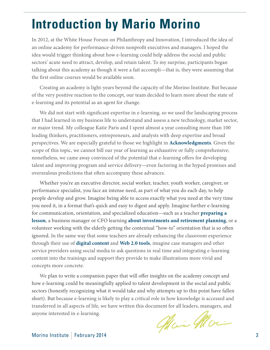# <span id="page-2-0"></span>**Introduction by Mario Morino**

In 2012, at the White House Forum on Philanthropy and Innovation, I introduced the idea of an online academy for performance-driven nonprofit executives and managers. I hoped the idea would trigger thinking about how e-learning could help address the social and public sectors' acute need to attract, develop, and retain talent. To my surprise, participants began talking about this academy as though it were a fait accompli—that is, they were assuming that the first online courses would be available soon.

Creating an academy is light-years beyond the capacity of the Morino Institute. But because of the very positive reaction to the concept, our team decided to learn more about the state of e-learning and its potential as an agent for change.

We did not start with significant expertise in e-learning, so we used the landscaping process that I had learned in my business life to understand and assess a new technology, market sector, or major trend. My colleague Katie Paris and I spent almost a year consulting more than 100 leading thinkers, practitioners, entrepreneurs, and analysts with deep expertise and broad perspectives. We are especially grateful to those we highlight in **[Acknowledgments](#page-32-0)**. Given the scope of this topic, we cannot bill our year of learning as exhaustive or fully comprehensive; nonetheless, we came away convinced of the potential that e-learning offers for developing talent and improving program and service delivery—even factoring in the hyped promises and overzealous predictions that often accompany these advances.

Whether you're an executive director, social worker, teacher, youth worker, caregiver, or performance specialist, you face an intense need, as part of what you do each day, to help people develop and grow. Imagine being able to access exactly what you need at the very time you need it, in a format that's quick and easy to digest and apply. Imagine further e-learning for communication, orientation, and specialized education—such as a teacher **[preparing a](http://leapofreason.org/pinterest-teachers)  [lesson](http://leapofreason.org/pinterest-teachers)**, a business manager or CFO learning **[about investments and retirement planning](http://leapofreason.org/nytimes-finance-class-web)**, or a volunteer working with the elderly getting the contextual "how-to" orientation that is so often ignored. In the same way that some teachers are already enhancing the classroom experience through their use of **[digital content](http://leapofreason.org/edudemic-teachers-guide-digital-content)** and **[Web 2.0 tools](http://leapofreason.org/edsurge-teachers-favored-web-2-0-tools)**, imagine case managers and other service providers using social media to ask questions in real time and integrating e-learning content into the trainings and support they provide to make illustrations more vivid and concepts more concrete.

We plan to write a companion paper that will offer insights on the academy concept and how e-learning could be meaningfully applied to talent development in the social and public sectors (honestly recognizing what it would take and why attempts up to this point have fallen short). But because e-learning is likely to play a critical role in how knowledge is accessed and transferred in all aspects of life, we have written this document for all leaders, managers, and anyone interested in e-learning.

Mai Moi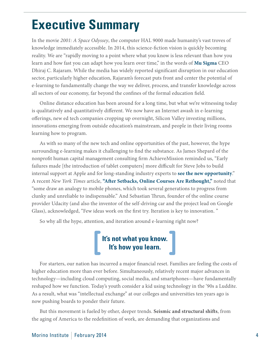# <span id="page-3-0"></span>**Executive Summary**

In the movie *2001: A Space Odyssey*, the computer HAL 9000 made humanity's vast troves of knowledge immediately accessible. In 2014, this science-fiction vision is quickly becoming reality. We are "rapidly moving to a point where what you know is less relevant than how you learn and how fast you can adapt how you learn over time," in the words of **[Mu Sigma](http://leapofreason.org/mu-sigma)** CEO Dhiraj C. Rajaram. While the media has widely reported significant disruption in our education sector, particularly higher education, Rajaram's forecast puts front and center the potential of e-learning to fundamentally change the way we deliver, process, and transfer knowledge across all sectors of our economy, far beyond the confines of the formal education field.

Online distance education has been around for a long time, but what we're witnessing today is qualitatively and quantitatively different. We now have an Internet awash in e-learning offerings, new ed tech companies cropping up overnight, Silicon Valley investing millions, innovations emerging from outside education's mainstream, and people in their living rooms learning how to program.

As with so many of the new tech and online opportunities of the past, however, the hype surrounding e-learning makes it challenging to find the substance. As James Shepard of the nonprofit human capital management consulting firm AchieveMission reminded us, "Early failures made [the introduction of tablet computers] more difficult for Steve Jobs to build internal support at Apple and for long-standing industry experts to **[see the new opportunity](http://leapofreason.org/eweek-now-is-different)**." A recent *New York Times* article, **["After Setbacks, Online Courses Are Rethought,](http://leapofreason.org/nytimes-online-courses-rethought)"** noted that "some draw an analogy to mobile phones, which took several generations to progress from clunky and unreliable to indispensable." And Sebastian Thrun, founder of the online course provider Udacity (and also the inventor of the self-driving car and the project lead on Google Glass), acknowledged, "Few ideas work on the first try. Iteration is key to innovation. "

So why all the hype, attention, and iteration around e-learning right now?

# **It's not what you know. It's how you learn.**

For starters, our nation has incurred a major financial reset. Families are feeling the costs of higher education more than ever before. Simultaneously, relatively recent major advances in technology—including cloud computing, social media, and smartphones—have fundamentally reshaped how we function. Today's youth consider a kid using technology in the '90s a Luddite. As a result, what was "intellectual exchange" at our colleges and universities ten years ago is now pushing boards to ponder their future.

But this movement is fueled by other, deeper trends. **Seismic and structural shifts**, from the aging of America to the redefinition of work, are demanding that organizations and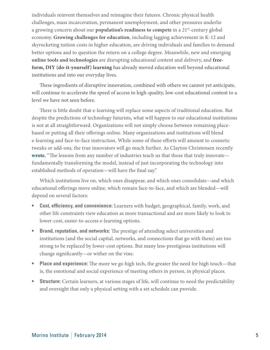individuals reinvent themselves and reimagine their futures. Chronic physical health challenges, mass incarceration, permanent unemployment, and other pressures underlie a growing concern about our **population's readiness to compete** in a 21st-century global economy. **Growing challenges for education**, including lagging achievement in K-12 and skyrocketing tuition costs in higher education, are driving individuals and families to demand better options and to question the return on a college degree. Meanwhile, new and emerging **online tools and technologies** are disrupting educational content and delivery, and **freeform, DIY (do-it-yourself) learning** has already moved education well beyond educational institutions and into our everyday lives.

These ingredients of disruptive innovation, combined with others we cannot yet anticipate, will continue to accelerate the speed of access to high-quality, low-cost educational content to a level we have not seen before.

There is little doubt that e-learning will replace some aspects of traditional education. But despite the predictions of technology futurists, what will happen to our educational institutions is not at all straightforward. Organizations will not simply choose between remaining placebased or putting all their offerings online. Many organizations and institutions will blend e-learning and face-to-face instruction. While some of these efforts will amount to cosmetic tweaks or add-ons, the true innovators will go much further. As Clayton Christensen recently **[wrote](http://leapofreason.org/nytimes-online-education-transformation)**, "The lessons from any number of industries teach us that those that truly innovate fundamentally transforming the model, instead of just incorporating the technology into established methods of operation—will have the final say."

Which institutions live on, which ones disappear, and which ones consolidate—and which educational offerings move online, which remain face-to-face, and which are blended—will depend on several factors:

- **• Cost, efficiency, and convenience:** Learners with budget, geographical, family, work, and other life constraints view education as more transactional and are more likely to look to lower-cost, easier-to-access e-learning options.
- **• Brand, reputation, and networks:** The prestige of attending select universities and institutions (and the social capital, networks, and connections that go with them) are too strong to be replaced by lower-cost options. But many less-prestigious institutions will change significantly—or wither on the vine.
- **• Place and experience:** The more we go high tech, the greater the need for high touch—that is, the emotional and social experience of meeting others in person, in physical places.
- **Structure:** Certain learners, at various stages of life, will continue to need the predictability and oversight that only a physical setting with a set schedule can provide.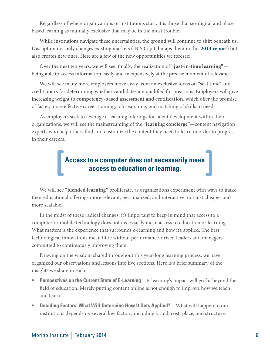Regardless of where organizations or institutions start, it is those that see digital and placebased learning as mutually exclusive that may be in the most trouble.

While institutions navigate these uncertainties, the ground will continue to shift beneath us. Disruption not only changes existing markets (IBIS Capital maps them in this **[2013 report](http://leapofreason.org/IBIS-global-elearning-investment-review-2013)**) but also creates new ones. Here are a few of the new opportunities we foresee:

Over the next ten years, we will see, finally, the realization of **"just-in-time learning"** being able to access information easily and inexpensively at the precise moment of relevance.

We will see many more employers move away from an exclusive focus on "seat time" and credit hours for determining whether candidates are qualified for positions. Employers will give increasing weight to **competency-based assessment and certification**, which offer the promise of faster, more effective career training, job searching, and matching of skills to needs.

As employers seek to leverage e-learning offerings for talent development within their organizations, we will see the mainstreaming of the **"learning concierge"**—content navigation experts who help others find and customize the content they need to learn in order to progress in their careers.

# **Access to a computer does not necessarily mean access to education or learning.**

We will see **"blended learning"** proliferate, as organizations experiment with ways to make their educational offerings more relevant, personalized, and interactive, not just cheaper and more scalable.

In the midst of these radical changes, it's important to keep in mind that access to a computer or mobile technology does not necessarily mean access to education or learning. What matters is the experience that surrounds e-learning and how it's applied. The best technological innovations mean little without performance-driven leaders and managers committed to continuously improving them.

Drawing on the wisdom shared throughout this year-long learning process, we have organized our observations and lessons into five sections. Here is a brief summary of the insights we share in each:

- **Perspectives on the Current State of E-Learning** E-learning's impact will go far beyond the field of education. Merely putting content online is not enough to improve how we teach and learn.
- **Deciding Factors: What Will Determine How It Gets Applied? What will happen to our** institutions depends on several key factors, including brand, cost, place, and structure.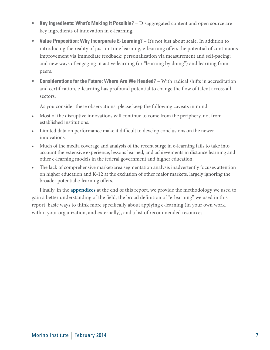- **Key Ingredients: What's Making It Possible?** Disaggregated content and open source are key ingredients of innovation in e-learning.
- **Value Proposition: Why Incorporate E-Learning?** It's not just about scale. In addition to introducing the reality of just-in-time learning, e-learning offers the potential of continuous improvement via immediate feedback; personalization via measurement and self-pacing; and new ways of engaging in active learning (or "learning by doing") and learning from peers.
- **• Considerations for the Future: Where Are We Headed?** With radical shifts in accreditation and certification, e-learning has profound potential to change the flow of talent across all sectors.

As you consider these observations, please keep the following caveats in mind:

- Most of the disruptive innovations will continue to come from the periphery, not from established institutions.
- • Limited data on performance make it difficult to develop conclusions on the newer innovations.
- Much of the media coverage and analysis of the recent surge in e-learning fails to take into account the extensive experience, lessons learned, and achievements in distance learning and other e-learning models in the federal government and higher education.
- The lack of comprehensive market/area segmentation analysis inadvertently focuses attention on higher education and K-12 at the exclusion of other major markets, largely ignoring the broader potential e-learning offers.

Finally, in the **[appendices](#page-31-0)** at the end of this report, we provide the methodology we used to gain a better understanding of the field, the broad definition of "e-learning" we used in this report, basic ways to think more specifically about applying e-learning (in your own work, within your organization, and externally), and a list of recommended resources.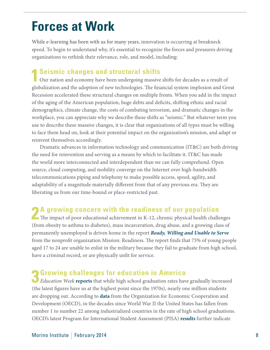# <span id="page-7-0"></span>**Forces at Work**

While e-learning has been with us for many years, innovation is occurring at breakneck speed. To begin to understand why, it's essential to recognize the forces and pressures driving organizations to rethink their relevance, role, and model, including:

#### **1 Seismic changes and structural shifts**

Our nation and economy have been undergoing massive shifts for decades as a result of globalization and the adoption of new technologies. The financial system implosion and Great Recession accelerated these structural changes on multiple fronts. When you add in the impact of the aging of the American population, huge debts and deficits, shifting ethnic and racial demographics, climate change, the costs of combating terrorism, and dramatic changes in the workplace, you can appreciate why we describe these shifts as "seismic." But whatever term you use to describe these massive changes, it is clear that organizations of all types must be willing to face them head on, look at their potential impact on the organization's mission, and adapt or reinvent themselves accordingly.

Dramatic advances in information technology and communication (IT&C) are both driving the need for reinvention and serving as a means by which to facilitate it. IT&C has made the world more interconnected and interdependent than we can fully comprehend. Open source, cloud computing, and mobility converge on the Internet over high-bandwidth telecommunications piping and telephony to make possible access, speed, agility, and adaptability of a magnitude materially different from that of any previous era. They are liberating us from our time-bound or place-restricted past.

#### **2** A growing concern with the readiness of our population

The impact of poor educational achievement in K-12, chronic physical health challenges (from obesity to asthma to diabetes), mass incarceration, drug abuse, and a growing class of permanently unemployed is driven home in the report *[Ready, Willing and Unable to Serve](http://leapofreason.org/mission-readiness-ready-willing)* from the nonprofit organization Mission: Readiness. The report finds that 75% of young people aged 17 to 24 are unable to enlist in the military because they fail to graduate from high school, have a criminal record, or are physically unfit for service.

**3 Growing challenges for education in America**  *Education Week* **reports** that while high school graduation rates have gradually increased (the latest figures have us at the highest point since the 1970s), nearly one million students are dropping out. According to **[data](http://www.oecd.org/edu/highlights.pdf)** from the Organization for Economic Cooperation and Development (OECD), in the decades since World War II the United States has fallen from number 1 to number 22 among industrialized countries in the rate of high school graduations. OECD's latest Program for International Student Assessment (PISA) **[results](http://leapofreason.org/oecd-keyfindings-2012)** further indicate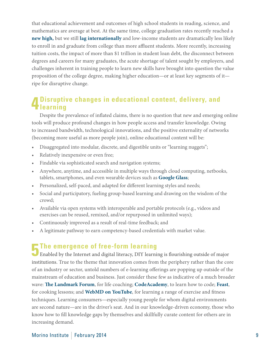that educational achievement and outcomes of high school students in reading, science, and mathematics are average at best. At the same time, college graduation rates recently reached a **[new high,](http://leapofreason.org/nytimes-rise-college-degrees-america)** but we still **[lag internationally](http://leapofreason.org/century-foundation-college-degrees-international)** and low-income students are dramatically less likely to enroll in and graduate from college than more affluent students. More recently, increasing tuition costs, the impact of more than \$1 trillion in student loan debt, the disconnect between degrees and careers for many graduates, the acute shortage of talent sought by employers, and challenges inherent in training people to learn new skills have brought into question the value proposition of the college degree, making higher education—or at least key segments of it ripe for disruptive change.

#### **4 Disruptive changes in educational content, delivery, and learning**

Despite the prevalence of inflated claims, there is no question that new and emerging online tools will produce profound changes in how people access and transfer knowledge. Owing to increased bandwidth, technological innovations, and the positive externality of networks (becoming more useful as more people join), online educational content will be:

- Disaggregated into modular, discrete, and digestible units or "learning nuggets";
- Relatively inexpensive or even free;
- Findable via sophisticated search and navigation systems;
- Anywhere, anytime, and accessible in multiple ways through cloud computing, netbooks, tablets, smartphones, and even wearable devices such as **[Google Glass](http://leapofreason.org/google-glass)**;
- Personalized, self-paced, and adapted for different learning styles and needs;
- Social and participatory, fueling group-based learning and drawing on the wisdom of the crowd;
- Available via open systems with interoperable and portable protocols (e.g., videos and exercises can be reused, remixed, and/or repurposed in unlimited ways);
- Continuously improved as a result of real-time feedback; and
- A legitimate pathway to earn competency-based credentials with market value.

**5 The emergence of free-form learning**<br>
Enabled by the Internet and digital literacy, DIY learning is flourishing outside of major institutions. True to the theme that innovation comes from the periphery rather than the core of an industry or sector, untold numbers of e-learning offerings are popping up outside of the mainstream of education and business. Just consider these few as indicative of a much broader wave: **[The Landmark Forum](http://leapofreason.org/landmark-forum)**, for life coaching; **[CodeAcademy](http://leapofreason.org/code-academy)**, to learn how to code; **[Feast](http://leapofreason.org/lets-feast)**, for cooking lessons; and **[WebMD on YouTube](http://leapofreason.org/web-MD)**, for learning a range of exercise and fitness techniques. Learning consumers—especially young people for whom digital environments are second nature—are in the driver's seat. And in our knowledge-driven economy, those who know how to fill knowledge gaps by themselves and skillfully curate content for others are in increasing demand.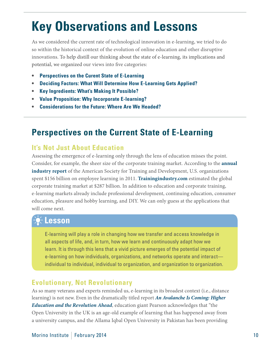# <span id="page-9-0"></span>**Key Observations and Lessons**

As we considered the current rate of technological innovation in e-learning, we tried to do so within the historical context of the evolution of online education and other disruptive innovations. To help distill our thinking about the state of e-learning, its implications and potential, we organized our views into five categories:

- **Perspectives on the Curent State of E-Learning**
- **• [Deciding Factors: What Will Determine How E-Learning Gets Applied?](#page-12-0)**
- **Key Ingredients: What's Making It Possible?**
- **• [Value Proposition: Why Incorporate E-learning?](#page-18-0)**
- **[•](#page-23-0) [Considerations for the Future: Where Are We Headed?](#page-22-0)**

# **Perspectives on the Current State of E-Learning**

#### **It's Not Just About Education**

Assessing the emergence of e-learning only through the lens of education misses the point. Consider, for example, the sheer size of the corporate training market. According to the **[annual](http://leapofreason.org/ASTD-state-of-industry-2012)  [industry report](http://leapofreason.org/ASTD-state-of-industry-2012)** of the American Society for Training and Development, U.S. organizations spent \$156 billion on employee learning in 2011. **[Trainingindustry.com](http://leapofreason.org/training-industry-size-market)** estimated the global corporate training market at \$287 billion. In addition to education and corporate training, e-learning markets already include professional development, continuing education, consumer education, pleasure and hobby learning, and DIY. We can only guess at the applications that will come next.

# **Lesson**

E-learning will play a role in changing how we transfer and access knowledge in all aspects of life, and, in turn, how we learn and continuously adapt how we learn. It is through this lens that a vivid picture emerges of the potential impact of e-learning on how individuals, organizations, and networks operate and interact individual to individual, individual to organization, and organization to organization.

#### **Evolutionary, Not Revolutionary**

As so many veterans and experts reminded us, e-learning in its broadest context (i.e., distance learning) is not new. Even in the dramatically titled report *[An Avalanche Is Coming: Higher](http://leapofreason.org/pearson-avalanche)  [Education and the Revolution Ahead](http://leapofreason.org/pearson-avalanche)*, education giant Pearson acknowledges that "the Open University in the UK is an age-old example of learning that has happened away from a university campus, and the Allama Iqbal Open University in Pakistan has been providing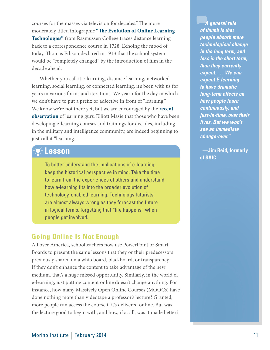courses for the masses via television for decades." The more moderately titled infographic **"[The Evolution of Online Learning](http://leapofreason.org/rasmussen-evolution-learning-technologies)  [Technologies"](http://leapofreason.org/rasmussen-evolution-learning-technologies)** from Rasmussen College traces distance learning back to a correspondence course in 1728. Echoing the mood of today, Thomas Edison declared in 1913 that the school system would be "completely changed" by the introduction of film in the decade ahead.

Whether you call it e-learning, distance learning, networked learning, social learning, or connected learning, it's been with us for years in various forms and iterations. We yearn for the day in which we don't have to put a prefix or adjective in front of "learning." We know we're not there yet, but we are encouraged by the **[recent](http://trends.masie.com/archives/2013/8/19/785-goodbye-elearning-jane-pauley-on-boomers-wearable-perfor.html)  [observation](http://trends.masie.com/archives/2013/8/19/785-goodbye-elearning-jane-pauley-on-boomers-wearable-perfor.html)** of learning guru Elliott Masie that those who have been developing e-learning courses and trainings for decades, including in the military and intelligence community, are indeed beginning to just call it "learning."

#### **Lesson**

To better understand the implications of e-learning, keep the historical perspective in mind. Take the time to learn from the experiences of others and understand how e-learning fits into the broader evolution of technology-enabled learning. Technology futurists are almost always wrong as they forecast the future in logical terms, forgetting that "life happens" when people get involved.

#### **Going Online Is Not Enough**

All over America, schoolteachers now use PowerPoint or Smart Boards to present the same lessons that they or their predecessors previously shared on a whiteboard, blackboard, or transparency. If they don't enhance the content to take advantage of the new medium, that's a huge missed opportunity. Similarly, in the world of e-learning, just putting content online doesn't change anything. For instance, how many Massively Open Online Courses (MOOCs) have done nothing more than videotape a professor's lecture? Granted, more people can access the course if it's delivered online. But was the lecture good to begin with, and how, if at all, was it made better?

*"A general rule of thumb is that people absorb more technological change in the long term, and less in the short term, than they currently expect. . . . We can expect E-learning to have dramatic long-term effects on how people learn continuously, and just-in-time, over their lives. But we won't see an immediate change-over."*

**—Jim Reid, formerly of SAIC**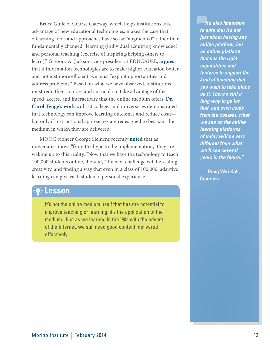Bruce Guile of Course Gateway, which helps institutions take advantage of new educational technologies, makes the case that e-learning tools and approaches have so far "augmented" rather than fundamentally changed "learning (individual acquiring knowledge) and personal teaching (exercise of inspiring/helping others to learn)." Gregory A. Jackson, vice president at EDUCAUSE, **[argues](http://www.educause.edu/library/resources/it-based-transformation-higher-education-possibilities-and-prospects)**  that if information technologies are to make higher education better, and not just more efficient, we must "exploit opportunities and address problems." Based on what we have observed, institutions must redo their courses and curricula to take advantage of the speed, access, and interactivity that the online medium offers. **[Dr.](http://leapofreason.org/ncat-who-we-are)  [Carol Twigg's work](http://leapofreason.org/ncat-who-we-are)** with 30 colleges and universities demonstrated that technology can improve learning outcomes and reduce costs but only if instructional approaches are redesigned to best suit the medium in which they are delivered.

MOOC pioneer George Siemens recently **[noted](http://www.nytimes.com/2013/12/11/us/after-setbacks-online-courses-are-rethought.html?_r=0)** that as universities move "from the hype to the implementation," they are waking up to this reality. "Now that we have the technology to teach 100,000 students online," he said, "the next challenge will be scaling creativity, and finding a way that even in a class of 100,000, adaptive learning can give each student a personal experience."

#### **Lesson**

It's not the online medium itself that has the potential to improve teaching or learning; it's the application of the medium. Just as we learned in the '90s with the advent of the Internet, we still need good content, delivered effectively.

*"It's also important to note that it's not just about having any online platform, but an online platform that has the right capabilities and features to support the kind of teaching that you want to take place on it. There's still a long way to go for that, and even aside from the content, what we see on the online learning platforms of today will be very different from what we'll see several years in the future."*

*—***Pang Wei Koh, Coursera**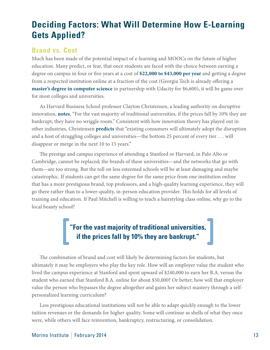# <span id="page-12-0"></span>**Deciding Factors: What Will Determine How E-Learning Gets Applied?**

#### **Brand vs. Cost**

Much has been made of the potential impact of e-learning and MOOCs on the future of higher education. Many predict, or fear, that once students are faced with the choice between earning a degree on campus in four or five years at a cost of **[\\$22,000 to \\$43,000 per year](http://leapofreason.org/collegeboard-average-undergraduate-budgets)** and getting a degree from a respected institution online at a fraction of the cost (Georgia Tech is already offering a **[master's degree in computer science](http://leapofreason.org/forbes-udacity-georgia-tech-cross-rubicon)** in partnership with Udacity for \$6,600), it will be game over for most colleges and universities.

As Harvard Business School professor Clayton Christensen, a leading authority on disruptive innovation, **[notes](http://leapofreason.org/economist-christensen-still-disruptive)**, "For the vast majority of traditional universities, if the prices fall by 10% they are bankrupt; they have no wriggle room." Consistent with how innovation theory has played out in other industries, Christensen **[predicts](http://leapofreason.org/nytimes-online-education-transformation)** that "existing consumers will ultimately adopt the disruption and a host of struggling colleges and universities—the bottom 25 percent of every tier . . . will disappear or merge in the next 10 to 15 years."

The prestige and campus experience of attending a Stanford or Harvard, in Palo Alto or Cambridge, cannot be replaced; the brands of these universities—and the networks that go with them—are too strong. But the toll on less esteemed schools will be at least damaging and maybe catastrophic. If students can get the same degree for the same price from one institution online that has a more prestigious brand, top professors, and a high-quality learning experience, they will go there rather than to a lower-quality, in-person education provider. This holds for all levels of training and education. If Paul Mitchell is willing to teach a hairstyling class online, why go to the local beauty school?

# **"For the vast majority of traditional universities, if the prices fall by 10% they are bankrupt."**

The combination of brand and cost will likely be determining factors for students, but ultimately it may be employers who play the key role. How will an employer value the student who lived the campus experience at Stanford and spent upward of \$240,000 to earn her B.A. versus the student who earned that Stanford B.A. online for about \$50,000? Or better, how will that employer value the person who bypasses the degree altogether and gains her subject mastery through a selfpersonalized learning curriculum?

Less prestigious educational institutions will not be able to adapt quickly enough to the lower tuition revenues or the demands for higher quality. Some will continue as shells of what they once were, while others will face reinvention, bankruptcy, restructuring, or consolidation.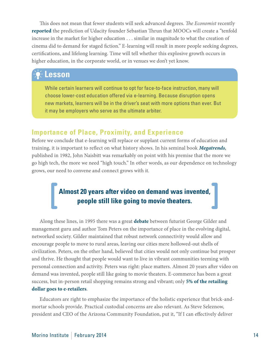This does not mean that fewer students will seek advanced degrees. *The Economist* recently **[reported](http://leapofreason.org/economist-attack-of-moocs)** the prediction of Udacity founder Sebastian Thrun that MOOCs will create a "tenfold increase in the market for higher education . . . similar in magnitude to what the creation of cinema did to demand for staged fiction." E-learning will result in more people seeking degrees, certifications, and lifelong learning. Time will tell whether this explosive growth occurs in higher education, in the corporate world, or in venues we don't yet know.

# **Lesson**

While certain learners will continue to opt for face-to-face instruction, many will choose lower-cost education offered via e-learning. Because disruption opens new markets, learners will be in the driver's seat with more options than ever. But it may be employers who serve as the ultimate arbiter.

#### **Importance of Place, Proximity, and Experience**

Before we conclude that e-learning will replace or supplant current forms of education and training, it is important to reflect on what history shows. In his seminal book *[Megatrends](http://leapofreason.org/naisbitt-megatrends),* published in 1982, John Naisbitt was remarkably on point with his premise that the more we go high tech, the more we need "high touch." In other words, as our dependence on technology grows, our need to convene and connect grows with it.

## **Almost 20 years after video on demand was invented, people still like going to movie theaters.**

Along these lines, in 1995 there was a great **[debate](http://leapofreason.org/business-highbeam-city-vs-country-peters-gilder-debate)** between futurist George Gilder and management guru and author Tom Peters on the importance of place in the evolving digital, networked society. Gilder maintained that robust network connectivity would allow and encourage people to move to rural areas, leaving our cities mere hollowed-out shells of civilization. Peters, on the other hand, believed that cities would not only continue but prosper and thrive. He thought that people would want to live in vibrant communities teeming with personal connection and activity. Peters was right: place matters. Almost 20 years after video on demand was invented, people still like going to movie theaters. E-commerce has been a great success, but in-person retail shopping remains strong and vibrant; only **[5% of the retailing](http://leapofreason.org/us-census-bureau-ecommerce-sales)  [dollar goes to e-retailers](http://leapofreason.org/us-census-bureau-ecommerce-sales)**.

Educators are right to emphasize the importance of the holistic experience that brick-andmortar schools provide. Practical custodial concerns are also relevant. As Steve Seleznow, president and CEO of the Arizona Community Foundation, put it, "If I can effectively deliver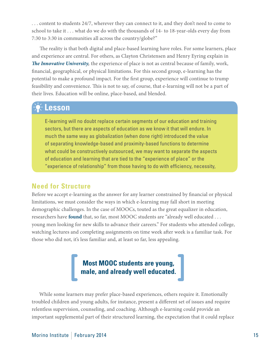. . . content to students 24/7, wherever they can connect to it, and they don't need to come to school to take it . . . what do we do with the thousands of 14- to 18-year-olds every day from 7:30 to 3:30 in communities all across the country/globe?"

The reality is that both digital and place-based learning have roles. For some learners, place and experience are central. For others, as Clayton Christensen and Henry Eyring explain in *[The Innovative University](http://leapofreason.org/amazon-innovative-university),* the experience of place is not as central because of family, work, financial, geographical, or physical limitations. For this second group, e-learning has the potential to make a profound impact. For the first group, experience will continue to trump feasibility and convenience. This is not to say, of course, that e-learning will not be a part of their lives. Education will be online, place-based, and blended.

#### **Lesson**

E-learning will no doubt replace certain segments of our education and training sectors, but there are aspects of education as we know it that will endure. In much the same way as globalization (when done right) introduced the value of separating knowledge-based and proximity-based functions to determine what could be constructively outsourced, we may want to separate the aspects of education and learning that are tied to the "experience of place" or the "experience of relationship" from those having to do with efficiency, necessity,

#### **Need for Structure**

Before we accept e-learning as the answer for any learner constrained by financial or physical limitations, we must consider the ways in which e-learning may fall short in meeting demographic challenges. In the case of MOOCs, touted as the great equalizer in education, researchers have **[found](http://leapofreason.org/wsj-mooc-students-male)** that, so far, most MOOC students are "already well educated . . . young men looking for new skills to advance their careers." For students who attended college, watching lectures and completing assignments on time week after week is a familiar task. For those who did not, it's less familiar and, at least so far, less appealing.



While some learners may prefer place-based experiences, others require it. Emotionally troubled children and young adults, for instance, present a different set of issues and require relentless supervision, counseling, and coaching. Although e-learning could provide an important supplemental part of their structured learning, the expectation that it could replace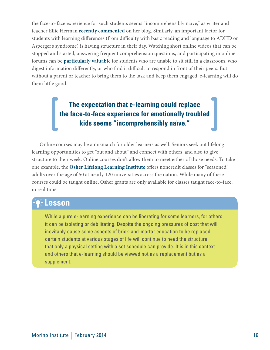the face-to-face experience for such students seems "incomprehensibly naïve," as writer and teacher Ellie Herman **[recently commented](http://leapofreason.org/gatsby-in-LA)** on her blog. Similarly, an important factor for students with learning differences (from difficulty with basic reading and language to ADHD or Asperger's syndrome) is having structure in their day. Watching short online videos that can be stopped and started, answering frequent comprehension questions, and participating in online forums can be **[particularly valuable](http://leapofreason.org/coursera-story-daniel)** for students who are unable to sit still in a classroom, who digest information differently, or who find it difficult to respond in front of their peers. But without a parent or teacher to bring them to the task and keep them engaged, e-learning will do them little good.

## **The expectation that e-learning could replace the face-to-face experience for emotionally troubled kids seems "incomprehensibly naïve."**

Online courses may be a mismatch for older learners as well. Seniors seek out lifelong learning opportunities to get "out and about" and connect with others, and also to give structure to their week. Online courses don't allow them to meet either of those needs. To take one example, the **[Osher Lifelong Learning Institute](http://leapofreason.org/osher-foundation-guidelines)** offers noncredit classes for "seasoned" adults over the age of 50 at nearly 120 universities across the nation. While many of these courses could be taught online, Osher grants are only available for classes taught face-to-face, in real time.

### **Lesson**

While a pure e-learning experience can be liberating for some learners, for others it can be isolating or debilitating. Despite the ongoing pressures of cost that will inevitably cause some aspects of brick-and-mortar education to be replaced, certain students at various stages of life will continue to need the structure that only a physical setting with a set schedule can provide. It is in this context and others that e-learning should be viewed not as a replacement but as a supplement.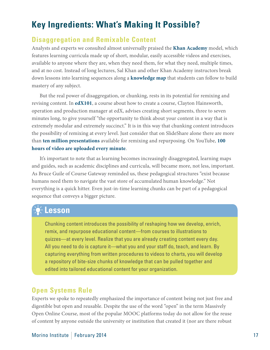# <span id="page-16-0"></span>**Key Ingredients: What's Making It Possible?**

#### **Disaggregation and Remixable Content**

Analysts and experts we consulted almost universally praised the **[Khan Academy](http://www.khanacademy.org)** model, which features learning curricula made up of short, modular, easily accessible videos and exercises, available to anyone where they are, when they need them, for what they need, multiple times, and at no cost. Instead of long lectures, Sal Khan and other Khan Academy instructors break down lessons into learning sequences along a **[knowledge map](http://leapofreason.org/khan-academy-exercise-dashboard)** that students can follow to build mastery of any subject.

But the real power of disaggregation, or chunking, rests in its potential for remixing and revising content. In **[edX101](http://leapofreason.org/edX101-how-to-create-edX-course)**, a course about how to create a course, Clayton Hainsworth, operation and production manager at edX, advises creating short segments, three to seven minutes long, to give yourself "the opportunity to think about your content in a way that is extremely modular and extremely succinct." It is in this way that chunking content introduces the possibility of remixing at every level. Just consider that on SlideShare alone there are more than **[ten million presentations](http://leapofreason.org/slideshare-presentations-uploaded)** available for remixing and repurposing. On YouTube, **[100](http://leapofreason.org/youtube-statistics)  [hours of video are uploaded every minute](http://leapofreason.org/youtube-statistics)**.

It's important to note that as learning becomes increasingly disaggregated, learning maps and guides, such as academic disciplines and curricula, will became more, not less, important. As Bruce Guile of Course Gateway reminded us, these pedagogical structures "exist because humans need them to navigate the vast store of accumulated human knowledge." Not everything is a quick hitter. Even just-in-time learning chunks can be part of a pedagogical sequence that conveys a bigger picture.

#### **Lesson**

Chunking content introduces the possibility of reshaping how we develop, enrich, remix, and repurpose educational content—from courses to illustrations to quizzes—at every level. Realize that you are already creating content every day. All you need to do is capture it—what you and your staff do, teach, and learn. By capturing everything from written procedures to videos to charts, you will develop a repository of bite-size chunks of knowledge that can be pulled together and edited into tailored educational content for your organization.

#### **Open Systems Rule**

Experts we spoke to repeatedly emphasized the importance of content being not just free and digestible but open and reusable. Despite the use of the word "open" in the term Massively Open Online Course, most of the popular MOOC platforms today do not allow for the reuse of content by anyone outside the university or institution that created it (nor are there robust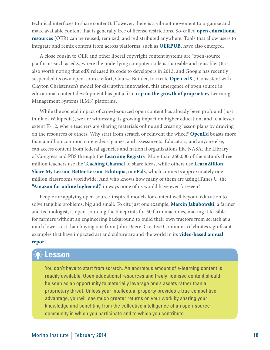technical interfaces to share content). However, there is a vibrant movement to organize and make available content that is generally free of license restrictions. So-called **[open educational](http://leapofreason.org/oercommons)  [resources](http://leapofreason.org/oercommons)** (OER) can be reused, remixed, and redistributed anywhere. Tools that allow users to integrate and remix content from across platforms, such as **[OERPUB](http://leapofreason.org/oerpub)**, have also emerged.

A close cousin to OER and other liberal copyright content systems are "open-source" platforms such as edX, where the underlying computer code is shareable and reusable. (It is also worth noting that edX released its code to developers in 2013, and Google has recently suspended its own open-source effort, Course Builder, to create **[Open edX](http://leapofreason.org/code-edx)**.) Consistent with Clayton Christensen's model for disruptive innovation, this emergence of open source in educational content development has put a firm **[cap on the growth of proprietary](http://leapofreason.org/chronicle-blackboard-announces-mooc-platform)** Learning Management Systems (LMS) platforms.

While the societal impact of crowd-sourced open content has already been profound (just think of [Wikipedia](http://leapofreason.org/wikipedia)), we are witnessing its growing impact on higher education, and to a lesser extent K-12, where teachers are sharing materials online and creating lesson plans by drawing on the resources of others. Why start from scratch or reinvent the wheel? **[OpenEd](http://www.opened.io/)** boasts more than a million common core videos, games, and assessments. Educators, and anyone else, can access content from federal agencies and national organizations like NASA, the Library of Congress and PBS through the **[Learning Registry](http://leapofreason.org/learning-registry)**. More than 260,000 of the nation's three million teachers use the **[Teaching Channel](http://leapofreason.org/teaching-channel)** to share ideas, while others use **[LearnZillion](http://leapofreason.org/learnzillion)**, **[Share My Lesson](http://leapofreason.org/share-my-lesson)**, **[Better Lesson](http://leapofreason.org/better-lesson)**, **[Edutopia](http://leapofreason.org/edutopia)**, or **[ePals](http://leapofreason.org/epals)**, which connects approximately one million classrooms worldwide. And who knows how many of them are using iTunes U, the **["Amazon for online higher ed](http://leapofreason.org/the-nation-if-youre-looking-amazon-higher-ed),"** in ways none of us would have ever foreseen?

People are applying open-source-inspired models for content well beyond education to solve tangible problems, big and small. To cite just one example, **[Marcin Jakubowski](http://leapofreason.org/ted-talk-jakubowski)**, a farmer and technologist, is open-sourcing the blueprints for 50 farm machines, making it feasible for farmers without an engineering background to build their own tractors from scratch at a much lower cost than buying one from John Deere. Creative Commons celebrates significant examples that have impacted art and culture around the world in its **[video-based annual](http://leapofreason.org/creative-commons-2012-annual-report)  [report](http://leapofreason.org/creative-commons-2012-annual-report)**.

#### **Lesson**

You don't have to start from scratch. An enormous amount of e-learning content is readily available. Open educational resources and freely licensed content should be seen as an opportunity to materially leverage one's assets rather than a proprietary threat. Unless your intellectual property provides a true competitive advantage, you will see much greater returns on your work by sharing your knowledge and benefiting from the collective intelligence of an open-source community in which you participate and to which you contribute.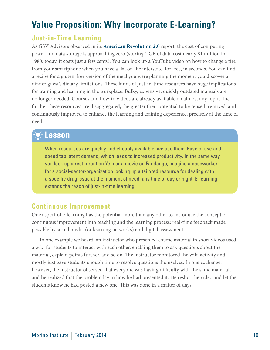# <span id="page-18-0"></span>**Value Proposition: Why Incorporate E-Learning?**

#### **Just-in-Time Learning**

As GSV Advisors observed in its **[American Revolution 2.0](http://leapofreason.org/gsv-american-revolution-2-0)** report, the cost of computing power and data storage is approaching zero (storing 1 GB of data cost nearly \$1 million in 1980; today, it costs just a few cents). You can look up a YouTube video on how to change a tire from your smartphone when you have a flat on the interstate, for free, in seconds. You can find a recipe for a gluten-free version of the meal you were planning the moment you discover a dinner guest's dietary limitations. These kinds of just-in-time resources have huge implications for training and learning in the workplace. Bulky, expensive, quickly outdated manuals are no longer needed. Courses and how-to videos are already available on almost any topic. The further these resources are disaggregated, the greater their potential to be reused, remixed, and continuously improved to enhance the learning and training experience, precisely at the time of need.

### **Lesson**

When resources are quickly and cheaply available, we use them. Ease of use and speed tap latent demand, which leads to increased productivity. In the same way you look up a restaurant on Yelp or a movie on Fandango, imagine a caseworker for a social-sector-organization looking up a tailored resource for dealing with a specific drug issue at the moment of need, any time of day or night. E-learning extends the reach of just-in-time learning.

#### **Continuous Improvement**

One aspect of e-learning has the potential more than any other to introduce the concept of continuous improvement into teaching and the learning process: real-time feedback made possible by social media (or learning networks) and digital assessment.

In one example we heard, an instructor who presented course material in short videos used a wiki for students to interact with each other, enabling them to ask questions about the material, explain points further, and so on. The instructor monitored the wiki activity and mostly just gave students enough time to resolve questions themselves. In one exchange, however, the instructor observed that everyone was having difficulty with the same material, and he realized that the problem lay in how he had presented it. He reshot the video and let the students know he had posted a new one. This was done in a matter of days.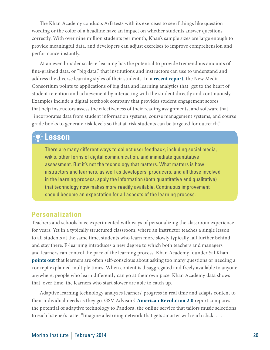The Khan Academy conducts A/B tests with its exercises to see if things like question wording or the color of a headline have an impact on whether students answer questions correctly. With over nine million students per month, Khan's sample sizes are large enough to provide meaningful data, and developers can adjust exercises to improve comprehension and performance instantly.

At an even broader scale, e-learning has the potential to provide tremendous amounts of fine-grained data, or "big data," that institutions and instructors can use to understand and address the diverse learning styles of their students. In a **[recent report](http://leapofreason.org/nmc-2013-horizon)**, the New Media Consortium points to applications of big data and learning analytics that "get to the heart of student retention and achievement by interacting with the student directly and continuously. Examples include a digital textbook company that provides student engagement scores that help instructors assess the effectiveness of their reading assignments, and software that "incorporates data from student information systems, course management systems, and course grade books to generate risk levels so that at-risk students can be targeted for outreach."

### **Lesson**

There are many different ways to collect user feedback, including social media, wikis, other forms of digital communication, and immediate quantitative assessment. But it's not the technology that matters. What matters is how instructors and learners, as well as developers, producers, and all those involved in the learning process, apply the information (both quantitative and qualitative) that technology now makes more readily available. Continuous improvement should become an expectation for all aspects of the learning process.

#### **Personalization**

Teachers and schools have experimented with ways of personalizing the classroom experience for years. Yet in a typically structured classroom, where an instructor teaches a single lesson to all students at the same time, students who learn more slowly typically fall further behind and stay there. E-learning introduces a new degree to which both teachers and managers and learners can control the pace of the learning process. Khan Academy founder Sal Khan **[points out](http://leapofreason.org/lse-khan-podcast)** that learners are often self-conscious about asking too many questions or needing a concept explained multiple times. When content is disaggregated and freely available to anyone anywhere, people who learn differently can go at their own pace. Khan Academy data shows that, over time, the learners who start slower are able to catch up.

Adaptive learning technology analyzes learners' progress in real time and adapts content to their individual needs as they go. GSV Advisors' **[American Revolution 2.0](http://leapofreason.org/gsv-american-revolution-2-0)** report compares the potential of adaptive technology to Pandora, the online service that tailors music selections to each listener's taste: "Imagine a learning network that gets smarter with each click. . . .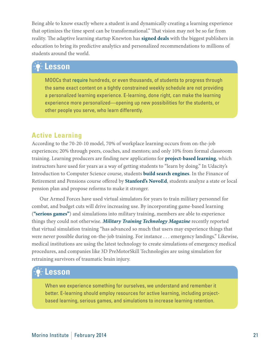Being able to know exactly where a student is and dynamically creating a learning experience that optimizes the time spent can be transformational." That vision may not be so far from reality. The adaptive learning startup Knewton has **[signed deals](http://leapofreason.org/gigaom-knewtown-takes-big-step-k-12)** with the biggest publishers in education to bring its predictive analytics and personalized recommendations to millions of students around the world.

# **Lesson**

MOOCs that [require](http://leapofreason.org/AP-whats-it-like-enroll-moocs) hundreds, or even thousands, of students to progress through the same exact content on a tightly constrained weekly schedule are not providing a personalized learning experience. E-learning, done right, can make the learning experience more personalized—opening up new possibilities for the students, or other people you serve, who learn differently.

#### **Active Learning**

According to the 70-20-10 model, 70% of workplace learning occurs from on-the-job experiences; 20% through peers, coaches, and mentors; and only 10% from formal classroom training. Learning producers are finding new applications for **[project-based learning](http://leapofreason.org/edutopia-project-based-learning)**, which instructors have used for years as a way of getting students to "learn by doing." In Udacity's Introduction to Computer Science course, students **[build search engines](http://leapofreason.org/udacity-how-udactiy-helped-get-internship-google)**. In the Finance of Retirement and Pensions course offered by **[Stanford's NovoEd](http://leapofreason.org/novoed-finance)**, students analyze a state or local pension plan and propose reforms to make it stronger.

Our Armed Forces have used virtual simulators for years to train military personnel for combat, and budget cuts will drive increasing use. By incorporating game-based learning (**["serious games"](http://leapofreason.org/knewtown-gamification-infographic)**) and simulations into military training, members are able to experience things they could not otherwise. *[Military Training Technology Magazine](http://leapofreason.org/military-training-technology-training-simulators)* recently reported that virtual simulation training "has advanced so much that users may experience things that were never possible during on-the-job training. For instance . . . emergency landings." Likewise, medical institutions are using the latest technology to create simulations of emergency medical procedures, and companies like 3D PreMotorSkill Technologies are using simulation for retraining survivors of traumatic brain injury.

# **Lesson**

When we experience something for ourselves, we understand and remember it better. E-learning should employ resources for active learning, including projectbased learning, serious games, and simulations to increase learning retention.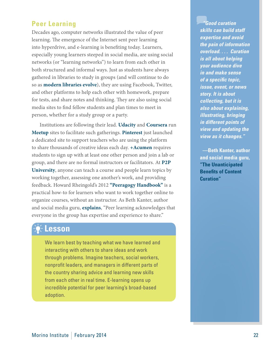#### **Peer Learning**

Decades ago, computer networks illustrated the value of peer learning. The emergence of the Internet sent peer learning into hyperdrive, and e-learning is benefiting today. Learners, especially young learners steeped in social media, are using social networks (or "learning networks") to learn from each other in both structured and informal ways. Just as students have always gathered in libraries to study in groups (and will continue to do so as **[modern libraries evolve](http://leapofreason.org/npr-modern-makeovers-americas-libraries)**), they are using Facebook, Twitter, and other platforms to help each other with homework, prepare for tests, and share notes and thinking. They are also using social media sites to find fellow students and plan times to meet in person, whether for a study group or a party.

Institutions are following their lead. **[Udacity](http://leapofreason.org/meetup-udacity)** and **[Coursera](http://leapofreason.org/meetup-coursera)** run **[Meetup](http://leapofreason.org/meetup)** sites to facilitate such gatherings. **[Pinterest](http://leapofreason.org/pinterest-say-hello-teachers)** just launched a dedicated site to support teachers who are using the platform to share thousands of creative ideas each day. **[+Acumen](http://leapofreason.org/plus-acumen)** requires students to sign up with at least one other person and join a lab or group, and there are no formal instructors or facilitators. At **[P2P](http://leapofreason.org/p2pu)  [University](http://leapofreason.org/p2pu)**, anyone can teach a course and people learn topics by working together, assessing one another's work, and providing feedback. Howard Rheingold's 2012 **"[Peeragogy Handbook"](http://leapofreason.org/peeragogy)** is a practical how-to for learners who want to work together online to organize courses, without an instructor. As Beth Kanter, author and social media guru, **[explains](http://leapofreason.org/peer-learning)**, "Peer learning acknowledges that everyone in the group has expertise and experience to share."

### **Lesson**

We learn best by teaching what we have learned and interacting with others to share ideas and work through problems. Imagine teachers, social workers, nonprofit leaders, and managers in different parts of the country sharing advice and learning new skills from each other in real time. E-learning opens up incredible potential for peer learning's broad-based adoption.

*"Good curation skills can build staff expertise and avoid the pain of information overload. . . . Curation is all about helping your audience dive in and make sense of a specific topic, issue, event, or news story. It is about collecting, but it is also about explaining, illustrating, bringing in different points of view and updating the view as it changes."*

**—Beth Kanter, author and social media guru, "[The Unanticipated](http://www.bethkanter.org/nten-curation/comment-page-1/)  [Benefits of Content](http://www.bethkanter.org/nten-curation/comment-page-1/)  [Curation"](http://www.bethkanter.org/nten-curation/comment-page-1/)**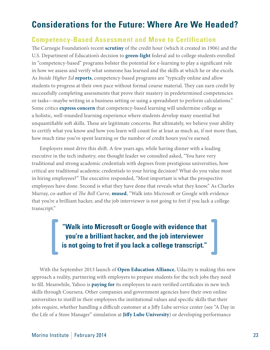# <span id="page-22-0"></span>**Considerations for the Future: Where Are We Headed?**

#### **Competency-Based Assessment and Move to Certification**

The Carnegie Foundation's recent **[scrutiny](http://leapofreason.org/carnegie-foundation-rethink-carnegie-unit)** of the credit hour (which it created in 1906) and the U.S. Department of Education's decision to **[green-light](http://leapofreason.org/chronicle-ed-dept-approves-competency-based)** federal aid to college students enrolled in "competency-based" programs bolster the potential for e-learning to play a significant role in how we assess and verify what someone has learned and the skills at which he or she excels. As *Inside Higher Ed* **[reports](http://leapofreason.org/inside-higher-ed-credit-without-teaching)**, competency-based programs are "typically online and allow students to progress at their own pace without formal course material. They can earn credit by successfully completing assessments that prove their mastery in predetermined competencies or tasks—maybe writing in a business setting or using a spreadsheet to perform calculations." Some critics **[express concern](http://leapofreason.org/competency-based-learning-concerns)** that competency-based learning will undermine college as a holistic, well-rounded learning experience where students develop many essential but unquantifiable soft skills. These are legitimate concerns. But ultimately, we believe your ability to certify what you know and how you learn will count for at least as much as, if not more than, how much time you've spent learning or the number of credit hours you've earned.

Employers must drive this shift. A few years ago, while having dinner with a leading executive in the tech industry, one thought leader we consulted asked, "You have very traditional and strong academic credentials with degrees from prestigious universities, how critical are traditional academic credentials to your hiring decision? What do you value most in hiring employees?" The executive responded, "Most important is what the prospective employees have done. Second is what they have done that reveals what they know." As Charles Murray, co-author of *The Bell Curve*, **[mused](http://leapofreason.org/career-builder-does-college-degree-matter)**, "Walk into Microsoft or Google with evidence that you're a brilliant hacker, and the job interviewer is not going to fret if you lack a college transcript."

> **"Walk into Microsoft or Google with evidence that you're a brilliant hacker, and the job interviewer is not going to fret if you lack a college transcript."**

With the September 2013 launch of **[Open Education Alliance](http://leapofreason.org/udacity-open-ed-alliance)**, Udacity is making this new approach a reality, partnering with employers to prepare students for the tech jobs they need to fill. Meanwhile, Yahoo is **[paying for](http://leapofreason.org/coursera-yahoo-certificates)** its employees to earn verified certificates in new tech skills through Coursera. Other companies and government agencies have their own online universities to instill in their employees the institutional values and specific skills that their jobs require, whether handling a difficult customer at a Jiffy Lube service center (see "A Day in the Life of a Store Manager" simulation at **[Jiffy Lube University](http://leapofreason.org/jiffy-lube-university)**) or developing performance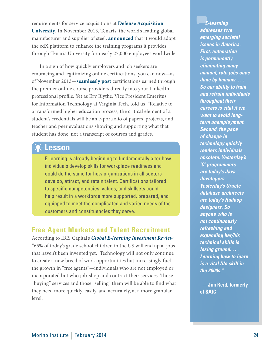<span id="page-23-0"></span>requirements for service acquisitions at **[Defense Acquisition](http://leapofreason.org/defense-acquisition-university)  [University](http://leapofreason.org/defense-acquisition-university)**. In November 2013, Tenaris, the world's leading global manufacturer and supplier of steel, **[announced](http://leapofreason.org/edx-tenaris)** that it would adopt the edX platform to enhance the training programs it provides through Tenaris University for nearly 27,000 employees worldwide.

In a sign of how quickly employers and job seekers are embracing and legitimizing online certifications, you can now—as of November 2013—**[seamlessly post](http://leapofreason.org/linkedin-certifications)** certifications earned through the premier online course providers directly into your LinkedIn professional profile. Yet as Erv Blythe, Vice President Emeritus for Information Technology at Virginia Tech, told us, "Relative to a transformed higher education process, the critical element of a student's credentials will be an e-portfolio of papers, projects, and teacher and peer evaluations showing and supporting what that student has done, not a transcript of courses and grades."

### **Lesson**

E-learning is already beginning to fundamentally alter how individuals develop skills for workplace readiness and could do the same for how organizations in all sectors develop, attract, and retain talent. Certifications tailored to specific competencies, values, and skillsets could help result in a workforce more supported, prepared, and equipped to meet the complicated and varied needs of the customers and constituencies they serve.

#### **Free Agent Markets and Talent Recruitment**

According to IBIS Capital's *[Global E-learning Investment Review](http://leapofreason.org/IBIS-global-elearning-investment-review-2013)*, "65% of today's grade school children in the US will end up at jobs that haven't been invented yet." Technology will not only continue to create a new breed of work opportunities but increasingly fuel the growth in "free agents"—individuals who are not employed or incorporated but who job-shop and contract their services. Those "buying" services and those "selling" them will be able to find what they need more quickly, easily, and accurately, at a more granular level.

*"E-learning addresses two emerging societal issues in America. First, automation is permanently eliminating many manual, rote jobs once done by humans. . . . So our ability to train and retrain individuals throughout their careers is vital if we want to avoid longterm unemployment. Second, the pace of change in technology quickly renders individuals obsolete. Yesterday's 'C' programmers are today's Java developers. Yesterday's Oracle database architects are today's Hadoop designers. So anyone who is not continuously refreshing and expanding her/his technical skills is losing ground. . . . Learning how to learn is a vital life skill in the 2000s."*

**—Jim Reid, formerly of SAIC**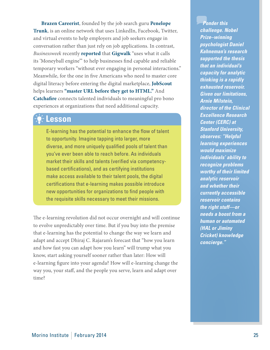**[Brazen Careerist](http://leapofreason.org/brazen-careerist)**, founded by the job search guru **[Penelope](http://leapofreason.org/penelope-trunk-blog)  [Trunk](http://leapofreason.org/penelope-trunk-blog)**, is an online network that uses LinkedIn, Facebook, Twitter, and virtual events to help employers and job seekers engage in conversation rather than just rely on job applications. In contrast, *Businessweek* recently **[reported](http://leapofreason.org/business-week-gigiwalk-temp-worker-hiring-without-job-interviews)** that **[Gigwalk](http://leapofreason.org/gigwalk)** "uses what it calls its 'Moneyball engine'" to help businesses find capable and reliable temporary workers "without ever engaging in personal interactions." Meanwhile, for the one in five Americans who need to master core digital literacy before entering the digital marketplace, **[JobScout](http://leapofreason.org/my-job-scout)** helps learners **["master URL before they get to HTML.](http://leapofreason.org/tech-crunch-platform-teaching-digital-literacy)"** And **[Catchafire](http://leapofreason.org/catchafire-how-it-works)** connects talented individuals to meaningful pro bono experiences at organizations that need additional capacity.

## **Lesson**

E-learning has the potential to enhance the flow of talent to opportunity. Imagine tapping into larger, more diverse, and more uniquely qualified pools of talent than you've ever been able to reach before. As individuals market their skills and talents (verified via competencybased certifications), and as certifying institutions make access available to their talent pools, the digital certifications that e-learning makes possible introduce new opportunities for organizations to find people with the requisite skills necessary to meet their missions.

The e-learning revolution did not occur overnight and will continue to evolve unpredictably over time. But if you buy into the premise that e-learning has the potential to change the way we learn and adapt and accept Dhiraj C. Rajaram's forecast that "how you learn and how fast you can adapt how you learn" will trump what you know, start asking yourself sooner rather than later: How will e-learning figure into your agenda? How will e-learning change the way you, your staff, and the people you serve, learn and adapt over time?

*Ponder this challenge. Nobel Prize–winning psychologist Daniel Kahneman's research supported the thesis that an individual's capacity for analytic thinking is a rapidly exhausted reservoir. Given our limitations, Arnie Milstein, director of the Clinical Excellence Research Center (CERC) at Stanford University, observes: "Helpful learning experiences would maximize individuals' ability to recognize problems worthy of their limited analytic reservoir and whether their currently accessible reservoir contains the right stuff—or needs a boost from a human or automated (HAL or Jiminy Cricket) knowledge concierge."*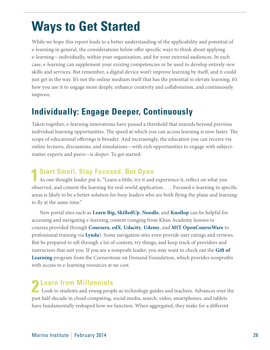# <span id="page-25-0"></span>**Ways to Get Started**

While we hope this report leads to a better understanding of the applicability and potential of e-learning in general, the considerations below offer specific ways to think about applying e-learning—individually, within your organization, and for your external audiences. In each case, e-learning can supplement your *existing* competencies or be used to develop entirely *new* skills and services. But remember, a digital device won't improve learning by itself, and it could just get in the way. It's not the online medium itself that has the potential to elevate learning; it's how you use it to engage more deeply, enhance creativity and collaboration, and continuously improve.

# **Individually: Engage Deeper, Continuously**

Taken together, e-learning innovations have passed a threshold that extends beyond previous individual learning opportunities. The speed at which you can access learning is now faster. The scope of educational offerings is broader. And increasingly, the education you can receive via online lectures, discussions, and simulations—with rich opportunities to engage with subjectmatter experts and peers—is *deeper*. To get started:

#### **1 Start Small, Stay Focused, But Open**

As one thought leader put it, "Learn a little, try it and experience it, reflect on what you observed, and cement the learning for real-world application. . . . Focused e-learning in specific areas is likely to be a better solution for busy leaders who are both flying the plane and learning to fly at the same time."

New portal sites such as **[Learn Big](http://leapofreason.org/learn-big), [SkilledUp](http://leapofreason.org/skilled-up)**, **[Noodle](http://leapofreason.org/noodle)**, and **[Knollop](http://leapofreason.org/knollop)** can be helpful for accessing and navigating e-learning content (ranging from Khan Academy lessons to courses provided through **[Coursera](http://leapofreason.org/coursera)**, **[edX](http://leapofreason.org/edx)**, **[Udacity](http://leapofreason.org/udacity)**, **[Udemy](http://leapofreason.org/udemy)**, and **[MIT OpenCourseWare](http://leapofreason.org/mit-open-courseware)** to professional training via **[Lynda](http://leapofreason.org/lynda)**). Some navigation sites even provide user ratings and reviews. But be prepared to sift through a lot of content, try things, and keep track of providers and instructors that suit you. If you are a nonprofit leader, you may want to check out the **[Gift of](http://leapofreason.org/cornerstone)  [Learning](http://leapofreason.org/cornerstone)** program from the Cornerstone on Demand Foundation, which provides nonprofits with access to e-learning resources at no cost.

**2 Learn from Millennials**<br>
Look to students and young people as technology guides and teachers. Advances over the past half-decade in cloud computing, social media, search, video, smartphones, and tablets have fundamentally reshaped how we function. When aggregated, they make for a different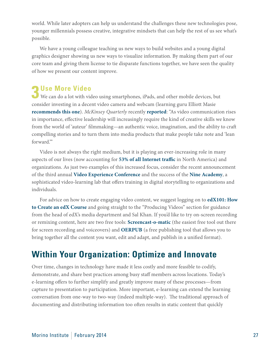world. While later adopters can help us understand the challenges these new technologies pose, younger millennials possess creative, integrative mindsets that can help the rest of us see what's possible.

We have a young colleague teaching us new ways to build websites and a young digital graphics designer showing us new ways to visualize information. By making them part of our core team and giving them license to tie disparate functions together, we have seen the quality of how we present our content improve.

**3 Use More Video** We can do a lot with video using smartphones, iPads, and other mobile devices, but consider investing in a decent video camera and webcam (learning guru Elliott Masie **[recommends](http://leapofreason.org/masie-great-webcam) [this one](http://leapofreason.org/webcam)**). *McKinsey Quarterly* recently **[reported](http://leapofreason.org/mckinsey-six-social-media-skills-every-leader-needs)**: "As video communication rises in importance, effective leadership will increasingly require the kind of creative skills we know from the world of 'auteur' filmmaking—an authentic voice, imagination, and the ability to craft compelling stories and to turn them into media products that make people take note and 'lean forward.'"

Video is not always the right medium, but it is playing an ever-increasing role in many aspects of our lives (now accounting for **[53% of all Internet traffic](http://leapofreason.org/video-rules-internet)** in North America) and organizations. As just two examples of this increased focus, consider the recent announcement of the third annual **[Video Experience Conference](http://leapofreason.org/kaltura-connect-2013-video-experience-conference)** and the success of the **[Nine Academy](http://leapofreason.org/nine-academy)**, a sophisticated video-learning lab that offers training in digital storytelling to organizations and individuals.

For advice on how to create engaging video content, we suggest logging on to **[edX101: How](http://leapofreason.org/edX101-how-to-create-edX-course)  [to Create an edX Course](http://leapofreason.org/edX101-how-to-create-edX-course)** and going straight to the "Producing Videos" section for guidance from the head of edX's media department and Sal Khan. If you'd like to try on-screen recording or remixing content, here are two free tools: **[Screencast-o-matic](http://leapofreason.org/screencast-o-matic)** (the easiest free tool out there for screen recording and voiceovers) and **[OERPUB](http://leapofreason.org/oerpub)** (a free publishing tool that allows you to bring together all the content you want, edit and adapt, and publish in a unified format).

# **Within Your Organization: Optimize and Innovate**

Over time, changes in technology have made it less costly and more feasible to codify, demonstrate, and share best practices among busy staff members across locations. Today's e-learning offers to further simplify and greatly improve many of these processes—from capture to presentation to participation. More important, e-learning can extend the learning conversation from one-way to two-way (indeed multiple-way). The traditional approach of documenting and distributing information too often results in static content that quickly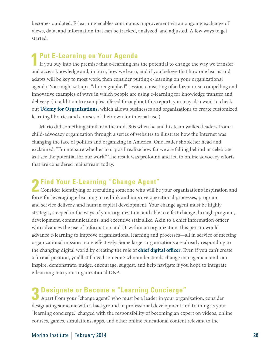becomes outdated. E-learning enables continuous improvement via an ongoing exchange of views, data, and information that can be tracked, analyzed, and adjusted. A few ways to get started:

#### **1Put E-Learning on Your Agenda**

If you buy into the premise that e-learning has the potential to change the way we transfer and access knowledge and, in turn, how we learn, and if you believe that how one learns and adapts will be key to most work, then consider putting e-learning on your organizational agenda. You might set up a "choreographed" session consisting of a dozen or so compelling and innovative examples of ways in which people are using e-learning for knowledge transfer and delivery. (In addition to examples offered throughout this report, you may also want to check out **[Udemy for Organizations](http://leapofreason.org/udemy-organizations)**, which allows businesses and organizations to create customized learning libraries and courses of their own for internal use.)

Mario did something similar in the mid-'90s when he and his team walked leaders from a child-advocacy organization through a series of websites to illustrate how the Internet was changing the face of politics and organizing in America. One leader shook her head and exclaimed, "I'm not sure whether to cry as I realize how far we are falling behind or celebrate as I see the potential for our work." The result was profound and led to online advocacy efforts that are considered mainstream today.

### **2Find Your E-Learning "Change Agent"**

Consider identifying or recruiting someone who will be your organization's inspiration and force for leveraging e-learning to rethink and improve operational processes, program and service delivery, and human capital development. Your change agent must be highly strategic, steeped in the ways of your organization, and able to effect change through program, development, communications, and executive staff alike. Akin to a chief information officer who advances the use of information and IT within an organization, this person would advance e-learning to improve organizational learning and processes—all in service of meeting organizational mission more effectively. Some larger organizations are already responding to the changing digital world by creating the role of **[chief digital officer](http://leapofreason.org/wikipedia-chief-digital-officer)**. Even if you can't create a formal position, you'll still need someone who understands change management and can inspire, demonstrate, nudge, encourage, suggest, and help navigate if you hope to integrate e-learning into your organizational DNA.

# **3 Designate or Become a "Learning Concierge"**

Apart from your "change agent," who must be a leader in your organization, consider designating someone with a background in professional development and training as your "learning concierge," charged with the responsibility of becoming an expert on videos, online courses, games, simulations, apps, and other online educational content relevant to the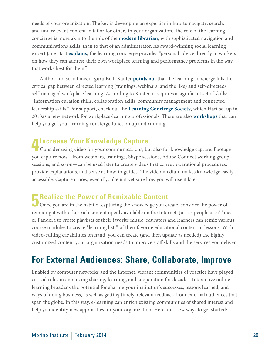needs of your organization. The key is developing an expertise in how to navigate, search, and find relevant content to tailor for others in your organization. The role of the learning concierge is more akin to the role of the **[modern librarian](http://leapofreason.org/npr-modern-makeovers-americas-libraries)**, with sophisticated navigation and communications skills, than to that of an administrator. As award-winning social learning expert Jane Hart **[explains](http://leapofreason.org/center-learning-performance-technologies-learning-concierge)**, the learning concierge provides "personal advice directly to workers on how they can address their own workplace learning and performance problems in the way that works best for them."

Author and social media guru Beth Kanter **[points out](http://leapofreason.org/peer-learning)** that the learning concierge fills the critical gap between directed learning (trainings, webinars, and the like) and self-directed/ self-managed workplace learning. According to Kanter, it requires a significant set of skills: "information curation skills, collaboration skills, community management and connected leadership skills." For support, check out the **[Learning Concierge Society](http://leapofreason.org/learning-concierge-society)**, which Hart set up in 2013as a new network for workplace-learning professionals. There are also **[workshops](http://leapofreason.org/learning-concierge-workshops)** that can help you get your learning concierge function up and running.

### **4Increase Your Knowledge Capture**

Consider using video for your communications, but also for knowledge capture. Footage you capture now—from webinars, trainings, Skype sessions, Adobe Connect working group sessions, and so on—can be used later to create videos that convey operational procedures, provide explanations, and serve as how-to guides. The video medium makes knowledge easily accessible. Capture it now, even if you're not yet sure how you will use it later.

#### **F** Realize the Power of Remixable Content

Once you are in the habit of capturing the knowledge you create, consider the power of remixing it with other rich content openly available on the Internet. Just as people use iTunes or Pandora to create playlists of their favorite music, educators and learners can remix various course modules to create "learning lists" of their favorite educational content or lessons. With video-editing capabilities on hand, you can create (and then update as needed) the highly customized content your organization needs to improve staff skills and the services you deliver.

# **For External Audiences: Share, Collaborate, Improve**

Enabled by computer networks and the Internet, vibrant communities of practice have played critical roles in enhancing sharing, learning, and cooperation for decades. Interactive online learning broadens the potential for sharing your institution's successes, lessons learned, and ways of doing business, as well as getting timely, relevant feedback from external audiences that span the globe. In this way, e-learning can enrich existing communities of shared interest and help you identify new approaches for your organization. Here are a few ways to get started: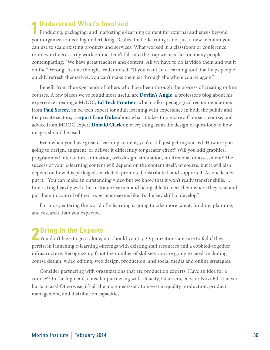#### **1Understand What's Involved**

Producing, packaging, and marketing e-learning content for external audiences beyond your organization is a big undertaking. Realize that e-learning is not just a new medium you can use to scale existing products and services. What worked in a classroom or conference room won't necessarily work online. Don't fall into the trap we hear far too many people contemplating: "We have great teachers and content. All we have to do is video them and put it online." Wrong! As one thought leader noted, "If you want an e-learning tool that helps people quickly refresh themselves, you can't make them sit through the whole course again."

Benefit from the experience of others who have been through the process of creating online courses. A few places we've found most useful are **[Devlin's Angle](http://leapofreason.org/devlinsangle-mooc)**, a professor's blog about his experience creating a MOOC; **[Ed Tech Frontier](http://leapofreason.org/ed-tech-frontier-pedagogy-moocs)**, which offers pedagogical recommendations from **[Paul Stacey](http://leapofreason.org/paul-stacey)**, an ed tech expert for adult learning with experience in both the public and the private sectors; a **[report from Duke](http://leapofreason.org/duke-report)** about what it takes to prepare a Coursera course; and advice from MOOC expert **[Donald Clark](http://leapofreason.org/donald-clark)** on everything from the design of questions to how images should be used.

Even when you have great e-learning content, you're still just getting started. How are you going to design, augment, or deliver it differently for greater effect? Will you add graphics, programmed interaction, animation, web design, simulation, multimedia, or assessment? The success of your e-learning content will depend on the content itself, of course, but it will also depend on how it is packaged, marketed, promoted, distributed, and supported. As one leader put it, "You can make an outstanding video but we know that it won't really transfer skills. . . . Interacting heavily with the customer/learner and being able to meet them where they're at and put them in control of their experience seems like it's the key skill to develop."

For most, entering the world of e-learning is going to take more talent, funding, planning, and research than you expected.

**2 Bring In the Experts**<br>
You don't have to go it alone, nor should you try. Organizations are sure to fail if they persist in launching e-learning offerings with existing staff resources and a cobbled-together infrastructure. Recognize up front the number of skillsets you are going to need, including course design, video editing, web design, production, and social media and online strategies.

Consider partnering with organizations that are production experts. Have an idea for a course? On the high end, consider partnering with Udacity, Coursera, edX, or NovoEd. It never hurts to ask! Otherwise, it's all the more necessary to invest in quality production, product management, and distribution capacities.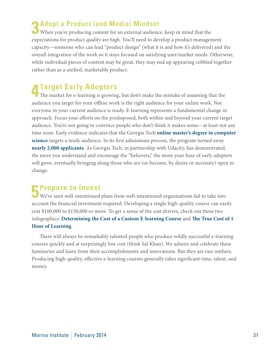**3** Adopt a Product (and Media) Mindset When you're producing content for an external audience, keep in mind that the expectations for product quality are high. You'll need to develop a product management capacity—someone who can lead "product design" (what it is and how it's delivered) and the overall integration of the work so it stays focused on satisfying user/market needs. Otherwise, while individual pieces of content may be great, they may end up appearing cobbled together rather than as a unified, marketable product.

**4Target Early Adopters** The market for e-learning is growing, but don't make the mistake of assuming that the audience you target for your offline work is the right audience for your online work. Not everyone in your current audience is ready. E-learning represents a fundamental change in approach. Focus your efforts on the predisposed, both within and beyond your current target audience. You're not going to convince people who don't think it makes sense—at least not any time soon. Early evidence indicates that the Georgia Tech **[online master's degree in computer](http://leapofreason.org/georgia-tech)  [science](http://leapofreason.org/georgia-tech)** targets a ready audience. In its first admissions process, the program turned away **[nearly 2,000 applicants](http://leapofreason.org/georgia-tech-mooc)**. As Georgia Tech, in partnership with Udacity, has demonstrated, the more you understand and encourage the "believers," the more your base of early adopters will grow, eventually bringing along those who are (or become, by desire or necessity) open to change.

### **5Prepare to Invest**

We've seen well-intentioned plans from well-intentioned organizations fail to take into account the financial investment required. Developing a single high-quality course can easily cost \$100,000 to \$150,000 or more. To get a sense of the cost drivers, check out these two infographics: **[Determining the Cost of a Custom E-learning Course](http://leapofreason.org/cost-elearning-course)** and **[The True Cost of 1](http://leapofreason.org/cost-create-elearning)  [Hour of Learning](http://leapofreason.org/cost-create-elearning)**.

There will always be remarkably talented people who produce wildly successful e-learning courses quickly and at surprisingly low cost (think Sal Khan). We admire and celebrate these luminaries and learn from their accomplishments and innovations. But they are rare outliers. Producing high-quality, effective e-learning courses generally takes significant time, talent, and money.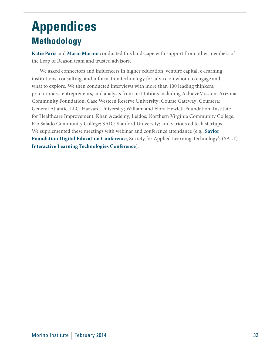# <span id="page-31-0"></span>**Appendices Methodology**

**[Katie Paris](http://leapofreason.org/katie-paris)** an[d](http://www.vppartners.org/bio/mario-morino) **[Mario Morino](http://leapofreason.org/mario-morino)** conducted this landscape with support from other members of the Leap of Reason team and trusted advisors.

We asked connectors and influencers in higher education, venture capital, e-learning institutions, consulting, and information technology for advice on whom to engage and what to explore. We then conducted interviews with more than 100 leading thinkers, practitioners, entrepreneurs, and analysts from institutions including AchieveMission; Arizona Community Foundation; Case Western Reserve University; Course Gateway; Coursera; General Atlantic, LLC; Harvard University; William and Flora Hewlett Foundation; Institute for Healthcare Improvement; Khan Academy; Leidos; Northern Virginia Community College; Rio Salado Community College; SAIC; Stanford University; and various ed tech startups. We supplemented these meetings with webinar and conference attendance (e.g., **[Saylor](http://leapofreason.org/saylor-digital-ed-conference-2013)  [Foundation Digital Education Conference](http://leapofreason.org/saylor-digital-ed-conference-2013)**, Society for Applied Learning Technology's (SALT) **[Interactive Learning Technologies Conference](http://leapofreason.org/SALT-conference-2013)**).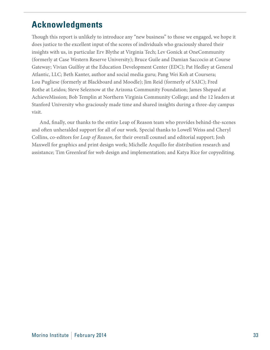# <span id="page-32-0"></span>**Acknowledgments**

Though this report is unlikely to introduce any "new business" to those we engaged, we hope it does justice to the excellent input of the scores of individuals who graciously shared their insights with us, in particular Erv Blythe at Virginia Tech; Lev Gonick at OneCommunity (formerly at Case Western Reserve University); Bruce Guile and Damian Saccocio at Course Gateway; Vivian Guilfoy at the Education Development Center (EDC); Pat Hedley at General Atlantic, LLC; Beth Kanter, author and social media guru; Pang Wei Koh at Coursera; Lou Pugliese (formerly at Blackboard and Moodle); Jim Reid (formerly of SAIC); Fred Rothe at Leidos; Steve Seleznow at the Arizona Community Foundation; James Shepard at AchieveMission; Bob Templin at Northern Virginia Community College; and the 12 leaders at Stanford University who graciously made time and shared insights during a three-day campus visit.

And, finally, our thanks to the entire Leap of Reason team who provides behind-the-scenes and often unheralded support for all of our work. Special thanks to Lowell Weiss and Cheryl Collins, co-editors for *Leap of Reason*, for their overall counsel and editorial support; Josh Maxwell for graphics and print design work; Michelle Arquillo for distribution research and assistance; Tim Greenleaf for web design and implementation; and Katya Rice for copyediting.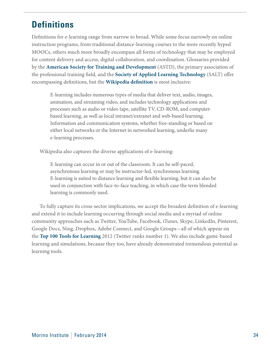# <span id="page-33-0"></span>**Definitions**

Definitions for e-learning range from narrow to broad. While some focus narrowly on online instruction programs, from traditional distance-learning courses to the more recently hyped MOOCs, others much more broadly encompass all forms of technology that may be employed for content delivery and access, digital collaboration, and coordination. Glossaries provided by the **[American Society for Training and Development](http://leapofreason.org/ASTD-glossary)** (ASTD), the primary association of the professional training field, and the **[Society of Applied Learning Technology](http://leapofreason.org/SALT-glossary)** (SALT) offer encompassing definitions, but the **[Wikipedia definition](http://leapofreason.org/wikipedia-E-learning)** is most inclusive:

E-learning includes numerous types of media that deliver text, audio, images, animation, and streaming video, and includes technology applications and processes such as audio or video tape, satellite TV, CD-ROM, and computerbased learning, as well as local intranet/extranet and web-based learning. Information and communication systems, whether free-standing or based on either local networks or the Internet in networked learning, underlie many e-learning processes.

Wikipedia also captures the diverse applications of e-learning:

E-learning can occur in or out of the classroom. It can be self-paced, asynchronous learning or may be instructor-led, synchronous learning. E-learning is suited to distance learning and flexible learning, but it can also be used in conjunction with face-to-face teaching, in which case the term blended learning is commonly used.

To fully capture its cross-sector implications, we accept the broadest definition of e-learning and extend it to include learning occurring through social media and a myriad of online community approaches such as Twitter, YouTube, Facebook, iTunes, Skype, LinkedIn, Pinterest, Google Docs, Ning, Dropbox, Adobe Connect, and Google Groups—all of which appear on the **[Top 100 Tools for Learning](http://leapofreason.org/center-learning-performance-technologies-top-100-tools)** 2012 (Twitter ranks number 1). We also include game-based learning and simulations, because they too, have already demonstrated tremendous potential as learning tools.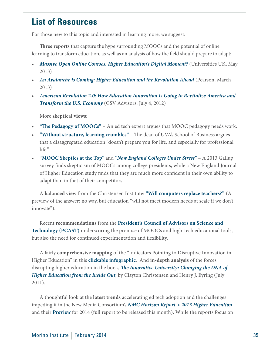# <span id="page-34-0"></span>**List of Resources**

For those new to this topic and interested in learning more, we suggest:

**Three reports** that capture the hype surrounding MOOCs and the potential of online learning to transform education, as well as an analysis of how the field should prepare to adapt:

- *[Massive Open Online Courses: Higher Education's Digital Moment?](http://leapofreason.org/universities-UK-moocs) (Universities UK, May* 2013)
- [An Avalanche is Coming: Higher Education and the Revolution Ahead](http://leapofreason.org/pearson-avalanche) (Pearson, March 2013)
- *• [American Revolution 2.0: How Education Innovation Is Going to Revitalize America and](http://leapofreason.org/gsv-american-revolution-2-0)  [Transform the U.S. Economy](http://leapofreason.org/gsv-american-revolution-2-0)* (GSV Advisors, July 4, 2012)

More **skeptical views**:

- **"[The Pedagogy of MOOCs"](http://leapofreason.org/ed-tech-frontier-pedagogy-moocs)** An ed tech expert argues that MOOC pedagogy needs work.
- **["Without structure, learning crumbles"](http://leapofreason.org/washington-post-commentary-without-structure-learning-crumbles)** The dean of UVA's School of Business argues that a disaggregated education "doesn't prepare you for life, and especially for professional life."
- • **["MOOC Skeptics at the Top](http://leapofreason.org/inside-higher-ed-survey-finds-presidents-skeptical-moocs)"** and *["New England Colleges Under Stress](http://leapofreason.org/nebhe-new-england-colleges-under-stress)"* A 2013 Gallup survey finds skepticism of MOOCs among college presidents, while a New England Journal of Higher Education study finds that they are much more confident in their own ability to adapt than in that of their competitors.

A **balanced view** from the Christensen Institute: **"[Will computers replace teachers?](http://leapofreason.org/christensen-institute-will-computers-replace-teachers)"** (A preview of the answer: no way, but education "will not meet modern needs at scale if we don't innovate").

Recent **recommendations** from the **[President's Council of Advisors on Science and](http://www.whitehouse.gov/blog/2013/12/18/pcast-considers-massive-open-online-courses-moocs-and-related-technologies-higher-ed)  [Technology \(PCAST\)](http://www.whitehouse.gov/blog/2013/12/18/pcast-considers-massive-open-online-courses-moocs-and-related-technologies-higher-ed)** underscoring the promise of MOOCs and high-tech educational tools, but also the need for continued experimentation and flexibility.

A fairly **comprehensive mapping** of the "Indicators Pointing to Disruptive Innovation in Higher Education" in this **[clickable infographic](http://leapofreason.org/higheredforecast-infographic)**. And **in-depth analysis** of the forces disrupting higher education in the book, *[The Innovative University: Changing the DNA of](http://leapofreason.org/amazon-innovative-university)  [Higher Education from the Inside Out](http://leapofreason.org/amazon-innovative-university)*, by Clayton Christensen and Henry J. Eyring (July 2011).

A thoughtful look at the **latest trends** accelerating ed tech adoption and the challenges impeding it in the New Media Consortium's *[NMC Horizon Report > 2013 Higher Education](http://leapofreason.org/nmc-2013-horizon)* and their **[Preview](http://leapofreason.org/ncm-2014-horizon-preview)** for 2014 (full report to be released this month). While the reports focus on